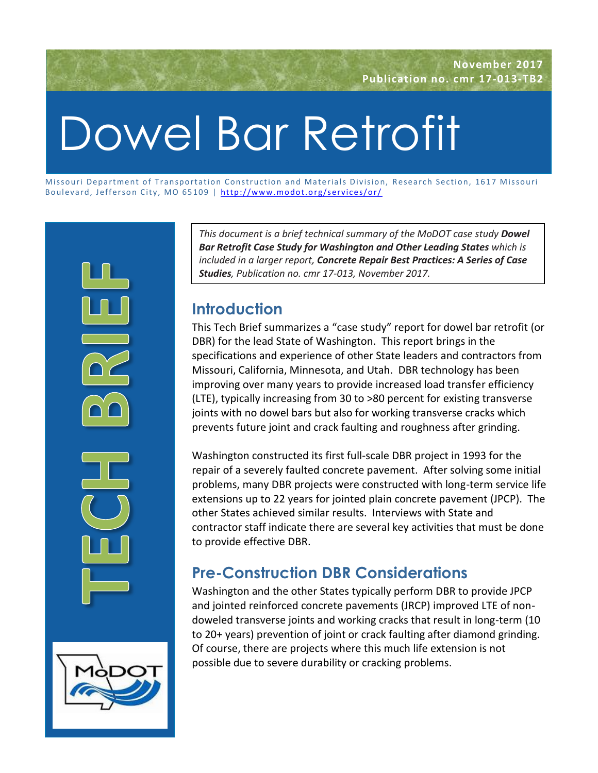# Dowel Bar Retrofit

Missouri Department of Transportation Construction and Materials Division, Research Section, 1617 Missouri Boulevard, Jefferson City, MO 65109 | http://www.modot.org/services/or/



*This document is a brief technical summary of the MoDOT case study Dowel Bar Retrofit Case Study for Washington and Other Leading States which is included in a larger report, Concrete Repair Best Practices: A Series of Case Studies, Publication no. cmr 17-013, November 2017.*

# **Introduction**

This Tech Brief summarizes a "case study" report for dowel bar retrofit (or DBR) for the lead State of Washington. This report brings in the specifications and experience of other State leaders and contractors from Missouri, California, Minnesota, and Utah. DBR technology has been improving over many years to provide increased load transfer efficiency (LTE), typically increasing from 30 to >80 percent for existing transverse joints with no dowel bars but also for working transverse cracks which prevents future joint and crack faulting and roughness after grinding.

Washington constructed its first full-scale DBR project in 1993 for the repair of a severely faulted concrete pavement. After solving some initial problems, many DBR projects were constructed with long-term service life extensions up to 22 years for jointed plain concrete pavement (JPCP). The other States achieved similar results. Interviews with State and contractor staff indicate there are several key activities that must be done to provide effective DBR.

# **Pre-Construction DBR Considerations**

Washington and the other States typically perform DBR to provide JPCP and jointed reinforced concrete pavements (JRCP) improved LTE of nondoweled transverse joints and working cracks that result in long-term (10 to 20+ years) prevention of joint or crack faulting after diamond grinding. Of course, there are projects where this much life extension is not possible due to severe durability or cracking problems.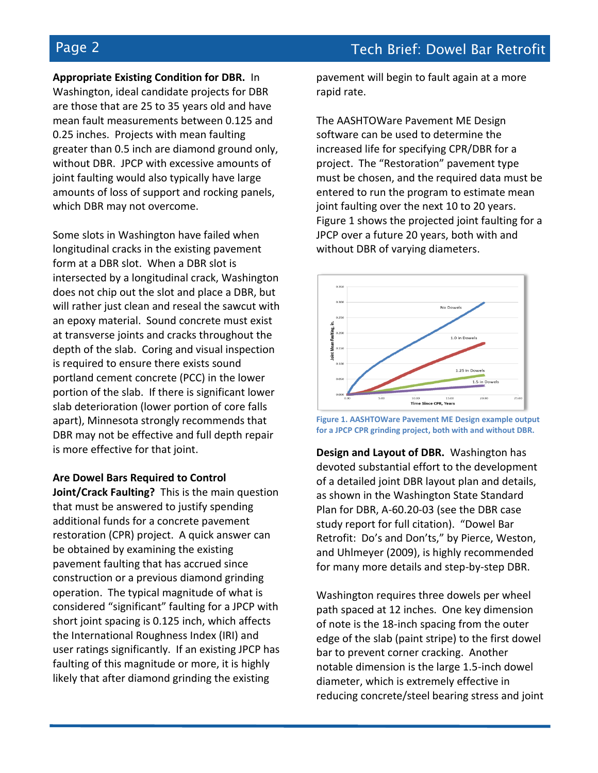**Appropriate Existing Condition for DBR.** In

Washington, ideal candidate projects for DBR are those that are 25 to 35 years old and have mean fault measurements between 0.125 and 0.25 inches. Projects with mean faulting greater than 0.5 inch are diamond ground only, without DBR. JPCP with excessive amounts of joint faulting would also typically have large amounts of loss of support and rocking panels, which DBR may not overcome.

Some slots in Washington have failed when longitudinal cracks in the existing pavement form at a DBR slot. When a DBR slot is intersected by a longitudinal crack, Washington does not chip out the slot and place a DBR, but will rather just clean and reseal the sawcut with an epoxy material. Sound concrete must exist at transverse joints and cracks throughout the depth of the slab. Coring and visual inspection is required to ensure there exists sound portland cement concrete (PCC) in the lower portion of the slab. If there is significant lower slab deterioration (lower portion of core falls apart), Minnesota strongly recommends that DBR may not be effective and full depth repair is more effective for that joint.

**Are Dowel Bars Required to Control** 

**Joint/Crack Faulting?** This is the main question that must be answered to justify spending additional funds for a concrete pavement restoration (CPR) project. A quick answer can be obtained by examining the existing pavement faulting that has accrued since construction or a previous diamond grinding operation. The typical magnitude of what is considered "significant" faulting for a JPCP with short joint spacing is 0.125 inch, which affects the International Roughness Index (IRI) and user ratings significantly. If an existing JPCP has faulting of this magnitude or more, it is highly likely that after diamond grinding the existing

pavement will begin to fault again at a more rapid rate.

The AASHTOWare Pavement ME Design software can be used to determine the increased life for specifying CPR/DBR for a project. The "Restoration" pavement type must be chosen, and the required data must be entered to run the program to estimate mean joint faulting over the next 10 to 20 years. Figure 1 shows the projected joint faulting for a JPCP over a future 20 years, both with and without DBR of varying diameters.



**Figure 1. AASHTOWare Pavement ME Design example output for a JPCP CPR grinding project, both with and without DBR.**

**Design and Layout of DBR.** Washington has devoted substantial effort to the development of a detailed joint DBR layout plan and details, as shown in the Washington State Standard Plan for DBR, A-60.20-03 (see the DBR case study report for full citation). "Dowel Bar Retrofit: Do's and Don'ts," by Pierce, Weston, and Uhlmeyer (2009), is highly recommended for many more details and step-by-step DBR.

Washington requires three dowels per wheel path spaced at 12 inches. One key dimension of note is the 18-inch spacing from the outer edge of the slab (paint stripe) to the first dowel bar to prevent corner cracking. Another notable dimension is the large 1.5-inch dowel diameter, which is extremely effective in reducing concrete/steel bearing stress and joint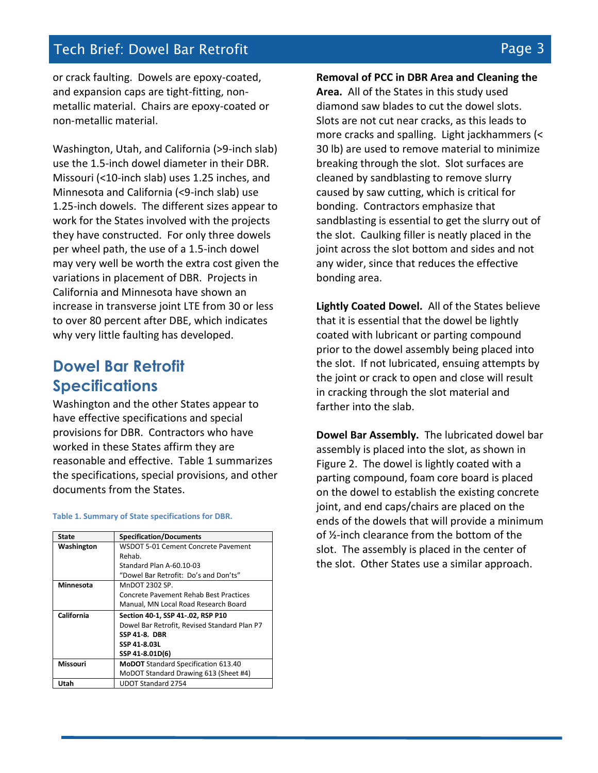# Tech Brief: Dowel Bar Retrofit Page 3 and 2008 1990 1991 1992 3

or crack faulting. Dowels are epoxy-coated, and expansion caps are tight-fitting, nonmetallic material. Chairs are epoxy-coated or non-metallic material.

Washington, Utah, and California (>9-inch slab) use the 1.5-inch dowel diameter in their DBR. Missouri (<10-inch slab) uses 1.25 inches, and Minnesota and California (<9-inch slab) use 1.25-inch dowels. The different sizes appear to work for the States involved with the projects they have constructed. For only three dowels per wheel path, the use of a 1.5-inch dowel may very well be worth the extra cost given the variations in placement of DBR. Projects in California and Minnesota have shown an increase in transverse joint LTE from 30 or less to over 80 percent after DBE, which indicates why very little faulting has developed.

# **Dowel Bar Retrofit Specifications**

Washington and the other States appear to have effective specifications and special provisions for DBR. Contractors who have worked in these States affirm they are reasonable and effective. Table 1 summarizes the specifications, special provisions, and other documents from the States.

| State      | <b>Specification/Documents</b>               |
|------------|----------------------------------------------|
| Washington | WSDOT 5-01 Cement Concrete Pavement          |
|            | Rehab.                                       |
|            | Standard Plan A-60.10-03                     |
|            | "Dowel Bar Retrofit: Do's and Don'ts"        |
| Minnesota  | MnDOT 2302 SP.                               |
|            | Concrete Pavement Rehab Best Practices       |
|            | Manual, MN Local Road Research Board         |
|            |                                              |
| California | Section 40-1, SSP 41-.02, RSP P10            |
|            | Dowel Bar Retrofit, Revised Standard Plan P7 |
|            | <b>SSP 41-8. DBR</b>                         |
|            | SSP 41-8.03L                                 |
|            | SSP 41-8.01D(6)                              |
| Missouri   | <b>MoDOT</b> Standard Specification 613.40   |
|            | MoDOT Standard Drawing 613 (Sheet #4)        |

### **Table 1. Summary of State specifications for DBR.**

**Removal of PCC in DBR Area and Cleaning the Area.** All of the States in this study used diamond saw blades to cut the dowel slots. Slots are not cut near cracks, as this leads to more cracks and spalling. Light jackhammers (< 30 lb) are used to remove material to minimize breaking through the slot. Slot surfaces are cleaned by sandblasting to remove slurry caused by saw cutting, which is critical for bonding. Contractors emphasize that sandblasting is essential to get the slurry out of the slot. Caulking filler is neatly placed in the joint across the slot bottom and sides and not any wider, since that reduces the effective bonding area.

**Lightly Coated Dowel.** All of the States believe that it is essential that the dowel be lightly coated with lubricant or parting compound prior to the dowel assembly being placed into the slot. If not lubricated, ensuing attempts by the joint or crack to open and close will result in cracking through the slot material and farther into the slab.

**Dowel Bar Assembly.** The lubricated dowel bar assembly is placed into the slot, as shown in Figure 2. The dowel is lightly coated with a parting compound, foam core board is placed on the dowel to establish the existing concrete joint, and end caps/chairs are placed on the ends of the dowels that will provide a minimum of ½-inch clearance from the bottom of the slot. The assembly is placed in the center of the slot. Other States use a similar approach.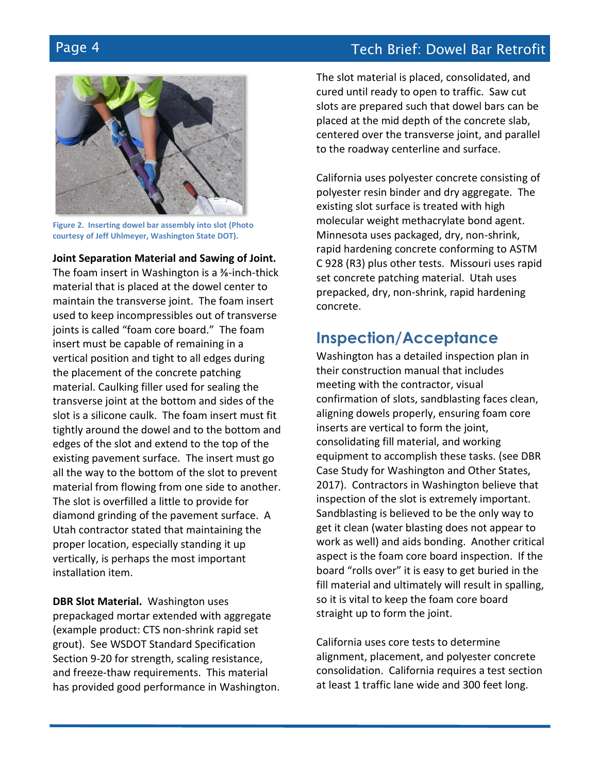# Page 4 Tech Brief: Dowel Bar Retrofit



**Figure 2. Inserting dowel bar assembly into slot (Photo courtesy of Jeff Uhlmeyer, Washington State DOT).**

### **Joint Separation Material and Sawing of Joint.**

The foam insert in Washington is a ⅜-inch-thick material that is placed at the dowel center to maintain the transverse joint. The foam insert used to keep incompressibles out of transverse joints is called "foam core board." The foam insert must be capable of remaining in a vertical position and tight to all edges during the placement of the concrete patching material. Caulking filler used for sealing the transverse joint at the bottom and sides of the slot is a silicone caulk. The foam insert must fit tightly around the dowel and to the bottom and edges of the slot and extend to the top of the existing pavement surface. The insert must go all the way to the bottom of the slot to prevent material from flowing from one side to another. The slot is overfilled a little to provide for diamond grinding of the pavement surface. A Utah contractor stated that maintaining the proper location, especially standing it up vertically, is perhaps the most important installation item.

**DBR Slot Material.** Washington uses prepackaged mortar extended with aggregate (example product: CTS non-shrink rapid set grout). See WSDOT Standard Specification Section 9-20 for strength, scaling resistance, and freeze-thaw requirements. This material has provided good performance in Washington. The slot material is placed, consolidated, and cured until ready to open to traffic. Saw cut slots are prepared such that dowel bars can be placed at the mid depth of the concrete slab, centered over the transverse joint, and parallel to the roadway centerline and surface.

California uses polyester concrete consisting of polyester resin binder and dry aggregate. The existing slot surface is treated with high molecular weight methacrylate bond agent. Minnesota uses packaged, dry, non-shrink, rapid hardening concrete conforming to ASTM C 928 (R3) plus other tests. Missouri uses rapid set concrete patching material. Utah uses prepacked, dry, non-shrink, rapid hardening concrete.

## **Inspection/Acceptance**

Washington has a detailed inspection plan in their construction manual that includes meeting with the contractor, visual confirmation of slots, sandblasting faces clean, aligning dowels properly, ensuring foam core inserts are vertical to form the joint, consolidating fill material, and working equipment to accomplish these tasks. (see DBR Case Study for Washington and Other States, 2017). Contractors in Washington believe that inspection of the slot is extremely important. Sandblasting is believed to be the only way to get it clean (water blasting does not appear to work as well) and aids bonding. Another critical aspect is the foam core board inspection. If the board "rolls over" it is easy to get buried in the fill material and ultimately will result in spalling, so it is vital to keep the foam core board straight up to form the joint.

California uses core tests to determine alignment, placement, and polyester concrete consolidation. California requires a test section at least 1 traffic lane wide and 300 feet long.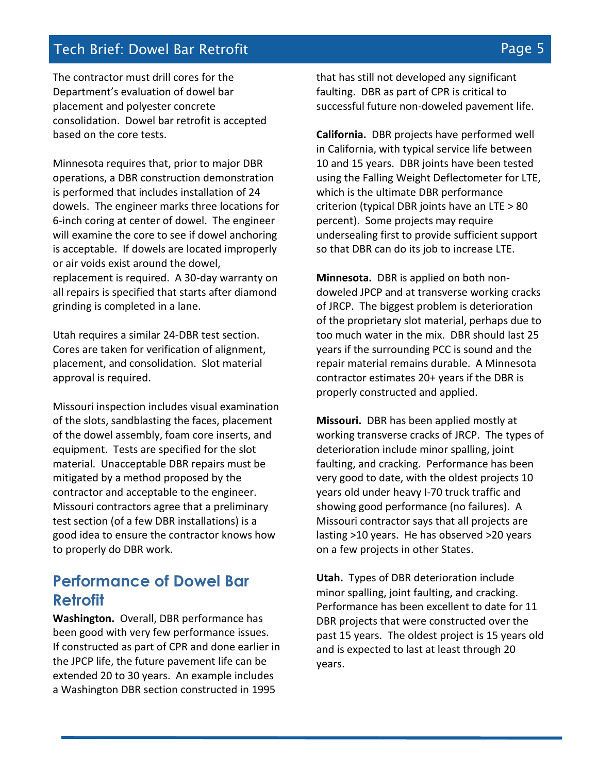# Tech Brief: Dowel Bar Retrofit Page 5 and the Page 5

The contractor must drill cores for the Department's evaluation of dowel bar placement and polyester concrete consolidation. Dowel bar retrofit is accepted based on the core tests.

Minnesota requires that, prior to major DBR operations, a DBR construction demonstration is performed that includes installation of 24 dowels. The engineer marks three locations for 6-inch coring at center of dowel. The engineer will examine the core to see if dowel anchoring is acceptable. If dowels are located improperly or air voids exist around the dowel, replacement is required. A 30-day warranty on all repairs is specified that starts after diamond grinding is completed in a lane.

Utah requires a similar 24-DBR test section. Cores are taken for verification of alignment, placement, and consolidation. Slot material approval is required.

Missouri inspection includes visual examination of the slots, sandblasting the faces, placement of the dowel assembly, foam core inserts, and equipment. Tests are specified for the slot material. Unacceptable DBR repairs must be mitigated by a method proposed by the contractor and acceptable to the engineer. Missouri contractors agree that a preliminary test section (of a few DBR installations) is a good idea to ensure the contractor knows how to properly do DBR work.

# **Performance of Dowel Bar Retrofit**

**Washington.** Overall, DBR performance has been good with very few performance issues. If constructed as part of CPR and done earlier in the JPCP life, the future pavement life can be extended 20 to 30 years. An example includes a Washington DBR section constructed in 1995

that has still not developed any significant faulting. DBR as part of CPR is critical to successful future non-doweled pavement life.

**California.** DBR projects have performed well in California, with typical service life between 10 and 15 years. DBR joints have been tested using the Falling Weight Deflectometer for LTE, which is the ultimate DBR performance criterion (typical DBR joints have an LTE > 80 percent). Some projects may require undersealing first to provide sufficient support so that DBR can do its job to increase LTE.

**Minnesota.** DBR is applied on both nondoweled JPCP and at transverse working cracks of JRCP. The biggest problem is deterioration of the proprietary slot material, perhaps due to too much water in the mix. DBR should last 25 years if the surrounding PCC is sound and the repair material remains durable. A Minnesota contractor estimates 20+ years if the DBR is properly constructed and applied.

**Missouri.** DBR has been applied mostly at working transverse cracks of JRCP. The types of deterioration include minor spalling, joint faulting, and cracking. Performance has been very good to date, with the oldest projects 10 years old under heavy I-70 truck traffic and showing good performance (no failures). A Missouri contractor says that all projects are lasting >10 years. He has observed >20 years on a few projects in other States.

**Utah.** Types of DBR deterioration include minor spalling, joint faulting, and cracking. Performance has been excellent to date for 11 DBR projects that were constructed over the past 15 years. The oldest project is 15 years old and is expected to last at least through 20 years.